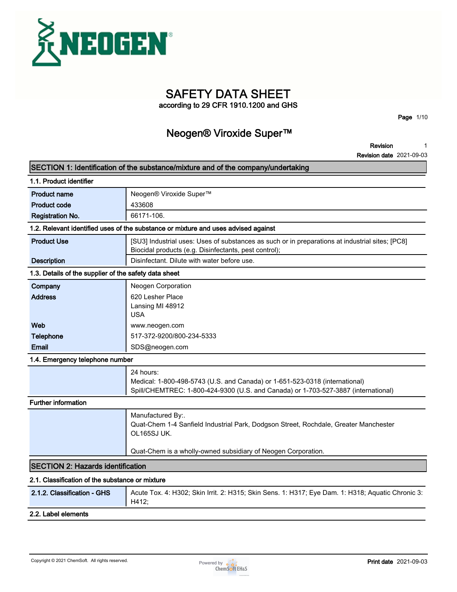

**SAFETY DATA SHEET**

**according to 29 CFR 1910.1200 and GHS**

**Page 1/10**

### **Neogen® Viroxide Super™**

**Revision 1**

|                                                       | SECTION 1: Identification of the substance/mixture and of the company/undertaking                                                                                              |  |  |
|-------------------------------------------------------|--------------------------------------------------------------------------------------------------------------------------------------------------------------------------------|--|--|
| 1.1. Product identifier                               |                                                                                                                                                                                |  |  |
| <b>Product name</b>                                   | Neogen® Viroxide Super™                                                                                                                                                        |  |  |
| <b>Product code</b>                                   | 433608                                                                                                                                                                         |  |  |
| <b>Registration No.</b>                               | 66171-106.                                                                                                                                                                     |  |  |
|                                                       | 1.2. Relevant identified uses of the substance or mixture and uses advised against                                                                                             |  |  |
| <b>Product Use</b>                                    | [SU3] Industrial uses: Uses of substances as such or in preparations at industrial sites; [PC8]<br>Biocidal products (e.g. Disinfectants, pest control);                       |  |  |
| <b>Description</b>                                    | Disinfectant. Dilute with water before use.                                                                                                                                    |  |  |
| 1.3. Details of the supplier of the safety data sheet |                                                                                                                                                                                |  |  |
| Company<br><b>Address</b>                             | Neogen Corporation<br>620 Lesher Place<br>Lansing MI 48912<br><b>USA</b>                                                                                                       |  |  |
| Web                                                   | www.neogen.com                                                                                                                                                                 |  |  |
| <b>Telephone</b>                                      | 517-372-9200/800-234-5333                                                                                                                                                      |  |  |
| Email                                                 | SDS@neogen.com                                                                                                                                                                 |  |  |
| 1.4. Emergency telephone number                       |                                                                                                                                                                                |  |  |
|                                                       | 24 hours:<br>Medical: 1-800-498-5743 (U.S. and Canada) or 1-651-523-0318 (international)<br>Spill/CHEMTREC: 1-800-424-9300 (U.S. and Canada) or 1-703-527-3887 (international) |  |  |
| <b>Further information</b>                            |                                                                                                                                                                                |  |  |
|                                                       | Manufactured By:.<br>Quat-Chem 1-4 Sanfield Industrial Park, Dodgson Street, Rochdale, Greater Manchester<br>OL165SJ UK.                                                       |  |  |
|                                                       | Quat-Chem is a wholly-owned subsidiary of Neogen Corporation.                                                                                                                  |  |  |
| <b>SECTION 2: Hazards identification</b>              |                                                                                                                                                                                |  |  |
| 2.1. Classification of the substance or mixture       |                                                                                                                                                                                |  |  |
| 2.1.2. Classification - GHS                           | Acute Tox. 4: H302; Skin Irrit. 2: H315; Skin Sens. 1: H317; Eye Dam. 1: H318; Aquatic Chronic 3:<br>H412;                                                                     |  |  |
|                                                       |                                                                                                                                                                                |  |  |

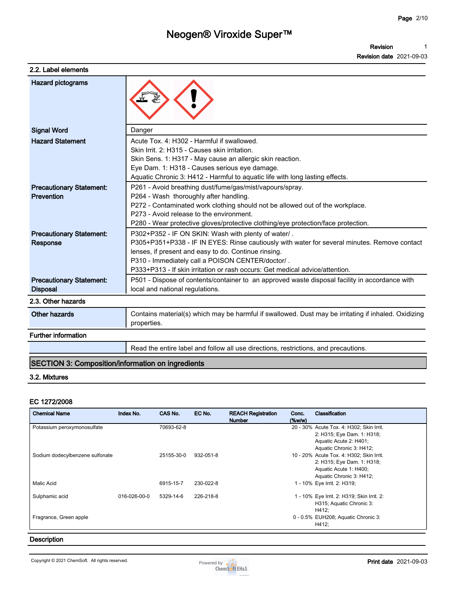#### **2.2. Label elements**

| <b>Revision date 2021-09-03</b> |  |
|---------------------------------|--|
|                                 |  |

| <b>Hazard pictograms</b>                           |                                                                                                                                                                                                                                                                                                                                                 |
|----------------------------------------------------|-------------------------------------------------------------------------------------------------------------------------------------------------------------------------------------------------------------------------------------------------------------------------------------------------------------------------------------------------|
| <b>Signal Word</b>                                 | Danger                                                                                                                                                                                                                                                                                                                                          |
| <b>Hazard Statement</b>                            | Acute Tox. 4: H302 - Harmful if swallowed.<br>Skin Irrit. 2: H315 - Causes skin irritation.<br>Skin Sens. 1: H317 - May cause an allergic skin reaction.<br>Eye Dam. 1: H318 - Causes serious eye damage.<br>Aquatic Chronic 3: H412 - Harmful to aquatic life with long lasting effects.                                                       |
| <b>Precautionary Statement:</b><br>Prevention      | P261 - Avoid breathing dust/fume/gas/mist/vapours/spray.<br>P264 - Wash thoroughly after handling.<br>P272 - Contaminated work clothing should not be allowed out of the workplace.<br>P273 - Avoid release to the environment.<br>P280 - Wear protective gloves/protective clothing/eye protection/face protection.                            |
| <b>Precautionary Statement:</b><br>Response        | P302+P352 - IF ON SKIN: Wash with plenty of water/.<br>P305+P351+P338 - IF IN EYES: Rinse cautiously with water for several minutes. Remove contact<br>lenses, if present and easy to do. Continue rinsing.<br>P310 - Immediately call a POISON CENTER/doctor/.<br>P333+P313 - If skin irritation or rash occurs: Get medical advice/attention. |
| <b>Precautionary Statement:</b><br><b>Disposal</b> | P501 - Dispose of contents/container to an approved waste disposal facility in accordance with<br>local and national regulations.                                                                                                                                                                                                               |
| 2.3. Other hazards                                 |                                                                                                                                                                                                                                                                                                                                                 |
| <b>Other hazards</b>                               | Contains material(s) which may be harmful if swallowed. Dust may be irritating if inhaled. Oxidizing<br>properties.                                                                                                                                                                                                                             |
| <b>Further information</b>                         |                                                                                                                                                                                                                                                                                                                                                 |
|                                                    | Read the entire label and follow all use directions, restrictions, and precautions.                                                                                                                                                                                                                                                             |

#### **SECTION 3: Composition/information on ingredients**

#### **3.2. Mixtures**

#### **EC 1272/2008**

| <b>Chemical Name</b>            | Index No.    | CAS No.    | EC No.    | <b>REACH Registration</b><br><b>Number</b> | Conc.<br>$(\%w/w)$ | Classification                                                                                                               |
|---------------------------------|--------------|------------|-----------|--------------------------------------------|--------------------|------------------------------------------------------------------------------------------------------------------------------|
| Potassium peroxymonosulfate     |              | 70693-62-8 |           |                                            |                    | 20 - 30% Acute Tox. 4: H302; Skin Irrit.<br>2: H315; Eye Dam. 1: H318;<br>Aquatic Acute 2: H401;<br>Aquatic Chronic 3: H412; |
| Sodium dodecylbenzene sulfonate |              | 25155-30-0 | 932-051-8 |                                            |                    | 10 - 20% Acute Tox. 4: H302; Skin Irrit.<br>2: H315; Eye Dam. 1: H318;<br>Aquatic Acute 1: H400;<br>Aquatic Chronic 3: H412; |
| Malic Acid                      |              | 6915-15-7  | 230-022-8 |                                            |                    | 1 - 10% Eye Irrit. 2: H319;                                                                                                  |
| Sulphamic acid                  | 016-026-00-0 | 5329-14-6  | 226-218-8 |                                            |                    | 1 - 10% Eye Irrit. 2: H319; Skin Irrit. 2:<br>H315; Aquatic Chronic 3:<br>H412;                                              |
| Fragrance, Green apple          |              |            |           |                                            |                    | 0 - 0.5% EUH208; Aquatic Chronic 3:<br>H412;                                                                                 |

#### **Description**

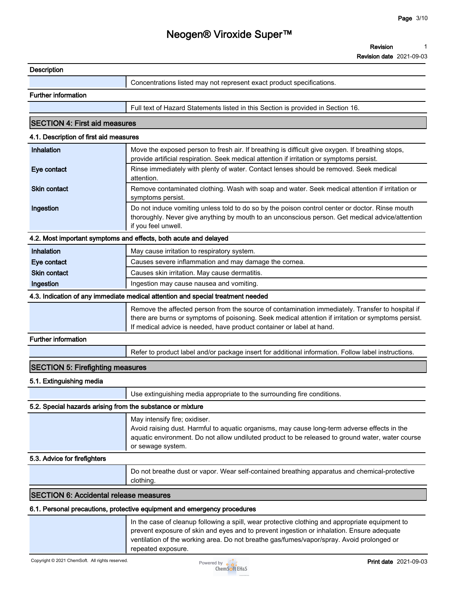|                                                            | Neogen® Viroxide Super™                                                                                                                                                                                                                                                          |
|------------------------------------------------------------|----------------------------------------------------------------------------------------------------------------------------------------------------------------------------------------------------------------------------------------------------------------------------------|
|                                                            | <b>Revision</b>                                                                                                                                                                                                                                                                  |
|                                                            | <b>Revision date</b> 2021-09-03                                                                                                                                                                                                                                                  |
| <b>Description</b>                                         |                                                                                                                                                                                                                                                                                  |
|                                                            | Concentrations listed may not represent exact product specifications.                                                                                                                                                                                                            |
| <b>Further information</b>                                 |                                                                                                                                                                                                                                                                                  |
|                                                            | Full text of Hazard Statements listed in this Section is provided in Section 16.                                                                                                                                                                                                 |
| <b>SECTION 4: First aid measures</b>                       |                                                                                                                                                                                                                                                                                  |
| 4.1. Description of first aid measures                     |                                                                                                                                                                                                                                                                                  |
| Inhalation                                                 | Move the exposed person to fresh air. If breathing is difficult give oxygen. If breathing stops,                                                                                                                                                                                 |
|                                                            | provide artificial respiration. Seek medical attention if irritation or symptoms persist.                                                                                                                                                                                        |
| Eye contact                                                | Rinse immediately with plenty of water. Contact lenses should be removed. Seek medical<br>attention.                                                                                                                                                                             |
| <b>Skin contact</b>                                        | Remove contaminated clothing. Wash with soap and water. Seek medical attention if irritation or<br>symptoms persist.                                                                                                                                                             |
| Ingestion                                                  | Do not induce vomiting unless told to do so by the poison control center or doctor. Rinse mouth<br>thoroughly. Never give anything by mouth to an unconscious person. Get medical advice/attention<br>if you feel unwell.                                                        |
|                                                            | 4.2. Most important symptoms and effects, both acute and delayed                                                                                                                                                                                                                 |
| Inhalation                                                 | May cause irritation to respiratory system.                                                                                                                                                                                                                                      |
| Eye contact                                                | Causes severe inflammation and may damage the cornea.                                                                                                                                                                                                                            |
| <b>Skin contact</b>                                        | Causes skin irritation. May cause dermatitis.                                                                                                                                                                                                                                    |
| Ingestion                                                  | Ingestion may cause nausea and vomiting.                                                                                                                                                                                                                                         |
|                                                            | 4.3. Indication of any immediate medical attention and special treatment needed                                                                                                                                                                                                  |
|                                                            | Remove the affected person from the source of contamination immediately. Transfer to hospital if<br>there are burns or symptoms of poisoning. Seek medical attention if irritation or symptoms persist.<br>If medical advice is needed, have product container or label at hand. |
| <b>Further information</b>                                 |                                                                                                                                                                                                                                                                                  |
|                                                            | Refer to product label and/or package insert for additional information. Follow label instructions.                                                                                                                                                                              |
| <b>SECTION 5: Firefighting measures</b>                    |                                                                                                                                                                                                                                                                                  |
| 5.1. Extinguishing media                                   |                                                                                                                                                                                                                                                                                  |
|                                                            | Use extinguishing media appropriate to the surrounding fire conditions.                                                                                                                                                                                                          |
| 5.2. Special hazards arising from the substance or mixture |                                                                                                                                                                                                                                                                                  |
|                                                            | May intensify fire; oxidiser.<br>Avoid raising dust. Harmful to aquatic organisms, may cause long-term adverse effects in the<br>aquatic environment. Do not allow undiluted product to be released to ground water, water course<br>or sewage system.                           |
| 5.3. Advice for firefighters                               |                                                                                                                                                                                                                                                                                  |
|                                                            | Do not breathe dust or vapor. Wear self-contained breathing apparatus and chemical-protective<br>clothing.                                                                                                                                                                       |
| <b>SECTION 6: Accidental release measures</b>              |                                                                                                                                                                                                                                                                                  |
|                                                            | 6.1. Personal precautions, protective equipment and emergency procedures                                                                                                                                                                                                         |
|                                                            | In the case of cleanup following a spill wear protective clething and appropriate equipment to                                                                                                                                                                                   |

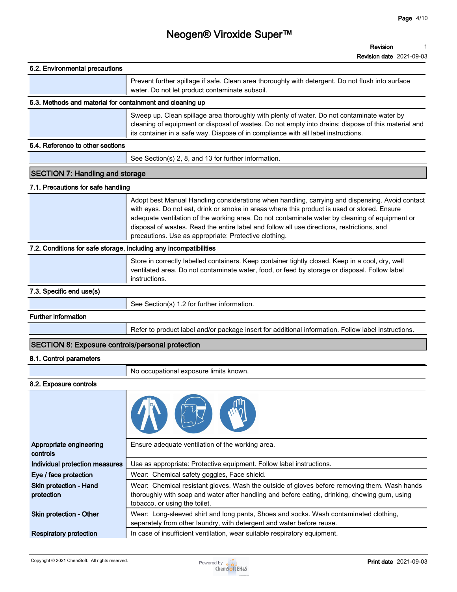| 6.2. Environmental precautions                                    |                                                                                                                                                                                                                                                                                                                                                                                                                                                         |  |  |  |
|-------------------------------------------------------------------|---------------------------------------------------------------------------------------------------------------------------------------------------------------------------------------------------------------------------------------------------------------------------------------------------------------------------------------------------------------------------------------------------------------------------------------------------------|--|--|--|
|                                                                   | Prevent further spillage if safe. Clean area thoroughly with detergent. Do not flush into surface<br>water. Do not let product contaminate subsoil.                                                                                                                                                                                                                                                                                                     |  |  |  |
| 6.3. Methods and material for containment and cleaning up         |                                                                                                                                                                                                                                                                                                                                                                                                                                                         |  |  |  |
|                                                                   | Sweep up. Clean spillage area thoroughly with plenty of water. Do not contaminate water by<br>cleaning of equipment or disposal of wastes. Do not empty into drains; dispose of this material and<br>its container in a safe way. Dispose of in compliance with all label instructions.                                                                                                                                                                 |  |  |  |
| 6.4. Reference to other sections                                  |                                                                                                                                                                                                                                                                                                                                                                                                                                                         |  |  |  |
|                                                                   | See Section(s) 2, 8, and 13 for further information.                                                                                                                                                                                                                                                                                                                                                                                                    |  |  |  |
| <b>SECTION 7: Handling and storage</b>                            |                                                                                                                                                                                                                                                                                                                                                                                                                                                         |  |  |  |
| 7.1. Precautions for safe handling                                |                                                                                                                                                                                                                                                                                                                                                                                                                                                         |  |  |  |
|                                                                   | Adopt best Manual Handling considerations when handling, carrying and dispensing. Avoid contact<br>with eyes. Do not eat, drink or smoke in areas where this product is used or stored. Ensure<br>adequate ventilation of the working area. Do not contaminate water by cleaning of equipment or<br>disposal of wastes. Read the entire label and follow all use directions, restrictions, and<br>precautions. Use as appropriate: Protective clothing. |  |  |  |
| 7.2. Conditions for safe storage, including any incompatibilities |                                                                                                                                                                                                                                                                                                                                                                                                                                                         |  |  |  |
|                                                                   | Store in correctly labelled containers. Keep container tightly closed. Keep in a cool, dry, well<br>ventilated area. Do not contaminate water, food, or feed by storage or disposal. Follow label<br>instructions.                                                                                                                                                                                                                                      |  |  |  |
| 7.3. Specific end use(s)                                          |                                                                                                                                                                                                                                                                                                                                                                                                                                                         |  |  |  |
|                                                                   | See Section(s) 1.2 for further information.                                                                                                                                                                                                                                                                                                                                                                                                             |  |  |  |
| <b>Further information</b>                                        |                                                                                                                                                                                                                                                                                                                                                                                                                                                         |  |  |  |
|                                                                   | Refer to product label and/or package insert for additional information. Follow label instructions.                                                                                                                                                                                                                                                                                                                                                     |  |  |  |
| SECTION 8: Exposure controls/personal protection                  |                                                                                                                                                                                                                                                                                                                                                                                                                                                         |  |  |  |
| 8.1. Control parameters                                           |                                                                                                                                                                                                                                                                                                                                                                                                                                                         |  |  |  |
|                                                                   | No occupational exposure limits known.                                                                                                                                                                                                                                                                                                                                                                                                                  |  |  |  |
| 8.2. Exposure controls                                            |                                                                                                                                                                                                                                                                                                                                                                                                                                                         |  |  |  |
|                                                                   |                                                                                                                                                                                                                                                                                                                                                                                                                                                         |  |  |  |
| Appropriate engineering<br>controls                               | Ensure adequate ventilation of the working area.                                                                                                                                                                                                                                                                                                                                                                                                        |  |  |  |
| Individual protection measures                                    | Use as appropriate: Protective equipment. Follow label instructions.                                                                                                                                                                                                                                                                                                                                                                                    |  |  |  |
| Eye / face protection                                             | Wear: Chemical safety goggles, Face shield.                                                                                                                                                                                                                                                                                                                                                                                                             |  |  |  |
| Skin protection - Hand<br>protection                              | Wear: Chemical resistant gloves. Wash the outside of gloves before removing them. Wash hands<br>thoroughly with soap and water after handling and before eating, drinking, chewing gum, using                                                                                                                                                                                                                                                           |  |  |  |

**thoroughly with soap and water after handling and before eating, drinking, chewing gum, using tobacco, or using the toilet. Skin protection - Other Wear: Long-sleeved shirt and long pants, Shoes and socks. Wash contaminated clothing, separately from other laundry, with detergent and water before reuse.**

**Respiratory protection I** In case of insufficient ventilation, wear suitable respiratory equipment.

Ĭ.

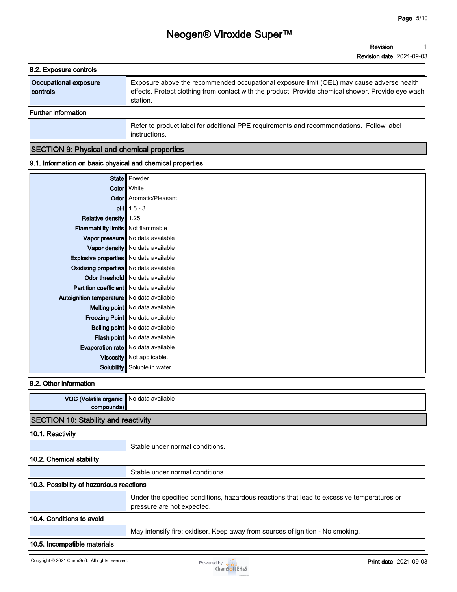**Revision 1**

| 8.2. Exposure controls            |                                                                                                                                                                                                             |
|-----------------------------------|-------------------------------------------------------------------------------------------------------------------------------------------------------------------------------------------------------------|
| Occupational exposure<br>controls | Exposure above the recommended occupational exposure limit (OEL) may cause adverse health<br>effects. Protect clothing from contact with the product. Provide chemical shower. Provide eye wash<br>station. |
| <b>Further information</b>        |                                                                                                                                                                                                             |
|                                   | Refer to product label for additional PPE requirements and recommendations. Follow label                                                                                                                    |

# **SECTION 9: Physical and chemical properties**

**instructions.**

#### **9.1. Information on basic physical and chemical properties**

|                                                | State   Powder                              |
|------------------------------------------------|---------------------------------------------|
|                                                | <b>Color</b> White                          |
|                                                | <b>Odor</b> Aromatic/Pleasant               |
|                                                | $pH$ 1.5 - 3                                |
| Relative density                               | 1.25                                        |
| <b>Flammability limits</b> Not flammable       |                                             |
|                                                | Vapor pressure   No data available          |
|                                                | Vapor density No data available             |
| <b>Explosive properties</b> No data available  |                                             |
| Oxidizing properties No data available         |                                             |
|                                                | Odor threshold   No data available          |
| <b>Partition coefficient</b> No data available |                                             |
| Autoignition temperature   No data available   |                                             |
|                                                | <b>Melting point</b> No data available      |
|                                                | Freezing Point   No data available          |
|                                                | <b>Boiling point</b> No data available      |
|                                                | Flash point   No data available             |
|                                                | <b>Evaporation rate</b>   No data available |
|                                                | Viscosity   Not applicable.                 |
| Solubility                                     | Soluble in water                            |

#### **9.2. Other information**

| VOC (Volatile organic  <br>compounds)       | No data available                                                                                                        |
|---------------------------------------------|--------------------------------------------------------------------------------------------------------------------------|
| <b>SECTION 10: Stability and reactivity</b> |                                                                                                                          |
| 10.1. Reactivity                            |                                                                                                                          |
|                                             | Stable under normal conditions.                                                                                          |
| 10.2. Chemical stability                    |                                                                                                                          |
|                                             | Stable under normal conditions.                                                                                          |
| 10.3. Possibility of hazardous reactions    |                                                                                                                          |
|                                             | Under the specified conditions, hazardous reactions that lead to excessive temperatures or<br>pressure are not expected. |
| 10.4. Conditions to avoid                   |                                                                                                                          |
|                                             | May intensify fire; oxidiser. Keep away from sources of ignition - No smoking.                                           |
| 10.5. Incompatible materials                |                                                                                                                          |

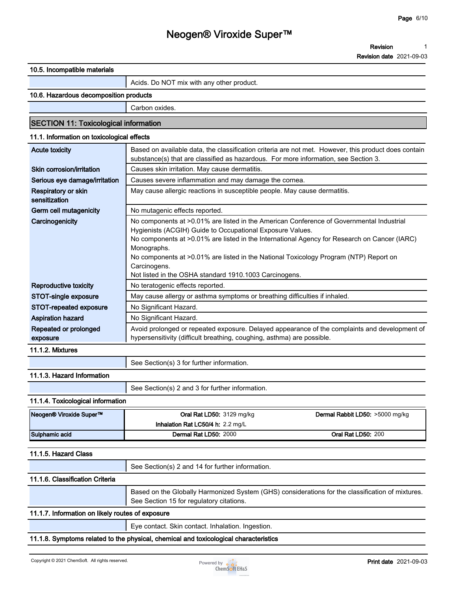**Revision 1**

| 10.5. Incompatible materials                     |                                                                                                                                                                                                                                                                                                                                                                                                                                         |  |  |  |
|--------------------------------------------------|-----------------------------------------------------------------------------------------------------------------------------------------------------------------------------------------------------------------------------------------------------------------------------------------------------------------------------------------------------------------------------------------------------------------------------------------|--|--|--|
|                                                  | Acids. Do NOT mix with any other product.                                                                                                                                                                                                                                                                                                                                                                                               |  |  |  |
| 10.6. Hazardous decomposition products           |                                                                                                                                                                                                                                                                                                                                                                                                                                         |  |  |  |
|                                                  | Carbon oxides.                                                                                                                                                                                                                                                                                                                                                                                                                          |  |  |  |
| <b>SECTION 11: Toxicological information</b>     |                                                                                                                                                                                                                                                                                                                                                                                                                                         |  |  |  |
| 11.1. Information on toxicological effects       |                                                                                                                                                                                                                                                                                                                                                                                                                                         |  |  |  |
|                                                  |                                                                                                                                                                                                                                                                                                                                                                                                                                         |  |  |  |
| <b>Acute toxicity</b>                            | Based on available data, the classification criteria are not met. However, this product does contain<br>substance(s) that are classified as hazardous. For more information, see Section 3.                                                                                                                                                                                                                                             |  |  |  |
| Skin corrosion/irritation                        | Causes skin irritation. May cause dermatitis.                                                                                                                                                                                                                                                                                                                                                                                           |  |  |  |
| Serious eye damage/irritation                    | Causes severe inflammation and may damage the cornea.                                                                                                                                                                                                                                                                                                                                                                                   |  |  |  |
| Respiratory or skin<br>sensitization             | May cause allergic reactions in susceptible people. May cause dermatitis.                                                                                                                                                                                                                                                                                                                                                               |  |  |  |
| Germ cell mutagenicity                           | No mutagenic effects reported.                                                                                                                                                                                                                                                                                                                                                                                                          |  |  |  |
| Carcinogenicity                                  | No components at >0.01% are listed in the American Conference of Governmental Industrial<br>Hygienists (ACGIH) Guide to Occupational Exposure Values.<br>No components at >0.01% are listed in the International Agency for Research on Cancer (IARC)<br>Monographs.<br>No components at >0.01% are listed in the National Toxicology Program (NTP) Report on<br>Carcinogens.<br>Not listed in the OSHA standard 1910.1003 Carcinogens. |  |  |  |
| <b>Reproductive toxicity</b>                     | No teratogenic effects reported.                                                                                                                                                                                                                                                                                                                                                                                                        |  |  |  |
| STOT-single exposure                             | May cause allergy or asthma symptoms or breathing difficulties if inhaled.                                                                                                                                                                                                                                                                                                                                                              |  |  |  |
| STOT-repeated exposure                           | No Significant Hazard.                                                                                                                                                                                                                                                                                                                                                                                                                  |  |  |  |
| <b>Aspiration hazard</b>                         | No Significant Hazard.                                                                                                                                                                                                                                                                                                                                                                                                                  |  |  |  |
| Repeated or prolonged<br>exposure                | Avoid prolonged or repeated exposure. Delayed appearance of the complaints and development of<br>hypersensitivity (difficult breathing, coughing, asthma) are possible.                                                                                                                                                                                                                                                                 |  |  |  |
| 11.1.2. Mixtures                                 |                                                                                                                                                                                                                                                                                                                                                                                                                                         |  |  |  |
|                                                  | See Section(s) 3 for further information.                                                                                                                                                                                                                                                                                                                                                                                               |  |  |  |
| 11.1.3. Hazard Information                       |                                                                                                                                                                                                                                                                                                                                                                                                                                         |  |  |  |
|                                                  | See Section(s) 2 and 3 for further information.                                                                                                                                                                                                                                                                                                                                                                                         |  |  |  |
| 11.1.4. Toxicological information                |                                                                                                                                                                                                                                                                                                                                                                                                                                         |  |  |  |
| Neogen® Viroxide Super™                          | Oral Rat LD50: 3129 mg/kg<br>Dermal Rabbit LD50: >5000 mg/kg<br>Inhalation Rat LC50/4 h: 2.2 mg/L                                                                                                                                                                                                                                                                                                                                       |  |  |  |
| Sulphamic acid                                   | Dermal Rat LD50: 2000<br><b>Oral Rat LD50: 200</b>                                                                                                                                                                                                                                                                                                                                                                                      |  |  |  |
|                                                  |                                                                                                                                                                                                                                                                                                                                                                                                                                         |  |  |  |
| 11.1.5. Hazard Class                             |                                                                                                                                                                                                                                                                                                                                                                                                                                         |  |  |  |
|                                                  | See Section(s) 2 and 14 for further information.                                                                                                                                                                                                                                                                                                                                                                                        |  |  |  |
| 11.1.6. Classification Criteria                  |                                                                                                                                                                                                                                                                                                                                                                                                                                         |  |  |  |
|                                                  | Based on the Globally Harmonized System (GHS) considerations for the classification of mixtures.<br>See Section 15 for regulatory citations.                                                                                                                                                                                                                                                                                            |  |  |  |
| 11.1.7. Information on likely routes of exposure |                                                                                                                                                                                                                                                                                                                                                                                                                                         |  |  |  |
|                                                  | Eye contact. Skin contact. Inhalation. Ingestion.                                                                                                                                                                                                                                                                                                                                                                                       |  |  |  |
|                                                  | 11.1.8. Symptoms related to the physical, chemical and toxicological characteristics                                                                                                                                                                                                                                                                                                                                                    |  |  |  |
|                                                  |                                                                                                                                                                                                                                                                                                                                                                                                                                         |  |  |  |

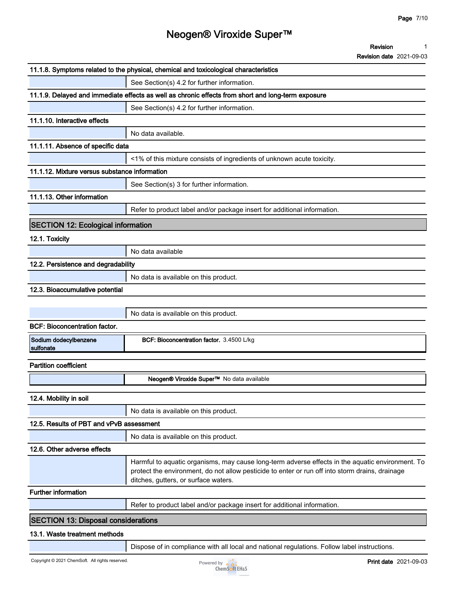|                                               | 11.1.8. Symptoms related to the physical, chemical and toxicological characteristics                                                    |
|-----------------------------------------------|-----------------------------------------------------------------------------------------------------------------------------------------|
|                                               | See Section(s) 4.2 for further information.                                                                                             |
|                                               | 11.1.9. Delayed and immediate effects as well as chronic effects from short and long-term exposure                                      |
|                                               | See Section(s) 4.2 for further information.                                                                                             |
| 11.1.10. Interactive effects                  |                                                                                                                                         |
|                                               | No data available.                                                                                                                      |
| 11.1.11. Absence of specific data             |                                                                                                                                         |
|                                               | <1% of this mixture consists of ingredients of unknown acute toxicity.                                                                  |
| 11.1.12. Mixture versus substance information |                                                                                                                                         |
|                                               | See Section(s) 3 for further information.                                                                                               |
| 11.1.13. Other information                    |                                                                                                                                         |
|                                               | Refer to product label and/or package insert for additional information.                                                                |
| <b>SECTION 12: Ecological information</b>     |                                                                                                                                         |
| 12.1. Toxicity                                |                                                                                                                                         |
|                                               | No data available                                                                                                                       |
| 12.2. Persistence and degradability           |                                                                                                                                         |
|                                               | No data is available on this product.                                                                                                   |
| 12.3. Bioaccumulative potential               |                                                                                                                                         |
|                                               |                                                                                                                                         |
|                                               | No data is available on this product.                                                                                                   |
| <b>BCF: Bioconcentration factor.</b>          |                                                                                                                                         |
| Sodium dodecylbenzene                         | BCF: Bioconcentration factor. 3.4500 L/kg                                                                                               |
| sulfonate                                     |                                                                                                                                         |
| <b>Partition coefficient</b>                  |                                                                                                                                         |
|                                               | Neogen® Viroxide Super™ No data available                                                                                               |
| 12.4. Mobility in soil                        |                                                                                                                                         |
|                                               | No data is available on this product.                                                                                                   |
| 12.5. Results of PBT and vPvB assessment      |                                                                                                                                         |
|                                               | No data is available on this product.                                                                                                   |
| 12.6. Other adverse effects                   |                                                                                                                                         |
|                                               | Harmful to aquatic organisms, may cause long-term adverse effects in the aquatic environment. To                                        |
|                                               | protect the environment, do not allow pesticide to enter or run off into storm drains, drainage<br>ditches, gutters, or surface waters. |
| <b>Further information</b>                    |                                                                                                                                         |
|                                               | Refer to product label and/or package insert for additional information.                                                                |
| <b>SECTION 13: Disposal considerations</b>    |                                                                                                                                         |
| 13.1. Waste treatment methods                 |                                                                                                                                         |
|                                               | Dispose of in compliance with all local and national regulations. Follow label instructions.                                            |
|                                               |                                                                                                                                         |

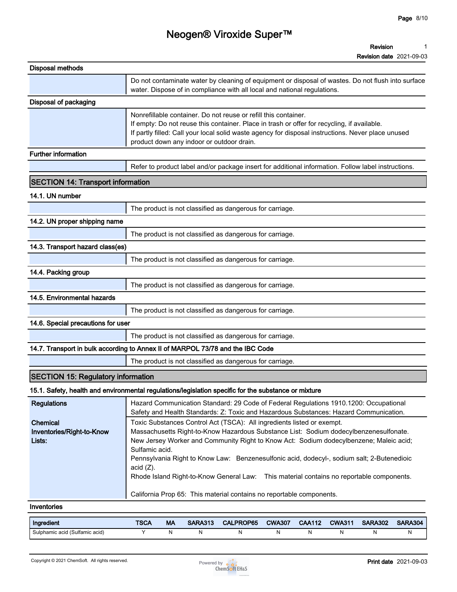| <b>Disposal methods</b>                         |                                                                                                                                                                                                                                                                                                                                                                                                                                                                                       |  |  |
|-------------------------------------------------|---------------------------------------------------------------------------------------------------------------------------------------------------------------------------------------------------------------------------------------------------------------------------------------------------------------------------------------------------------------------------------------------------------------------------------------------------------------------------------------|--|--|
|                                                 | Do not contaminate water by cleaning of equipment or disposal of wastes. Do not flush into surface<br>water. Dispose of in compliance with all local and national regulations.                                                                                                                                                                                                                                                                                                        |  |  |
| Disposal of packaging                           |                                                                                                                                                                                                                                                                                                                                                                                                                                                                                       |  |  |
|                                                 | Nonrefillable container. Do not reuse or refill this container.<br>If empty: Do not reuse this container. Place in trash or offer for recycling, if available.<br>If partly filled: Call your local solid waste agency for disposal instructions. Never place unused<br>product down any indoor or outdoor drain.                                                                                                                                                                     |  |  |
| <b>Further information</b>                      |                                                                                                                                                                                                                                                                                                                                                                                                                                                                                       |  |  |
|                                                 | Refer to product label and/or package insert for additional information. Follow label instructions.                                                                                                                                                                                                                                                                                                                                                                                   |  |  |
| <b>SECTION 14: Transport information</b>        |                                                                                                                                                                                                                                                                                                                                                                                                                                                                                       |  |  |
| 14.1. UN number                                 |                                                                                                                                                                                                                                                                                                                                                                                                                                                                                       |  |  |
|                                                 | The product is not classified as dangerous for carriage.                                                                                                                                                                                                                                                                                                                                                                                                                              |  |  |
| 14.2. UN proper shipping name                   |                                                                                                                                                                                                                                                                                                                                                                                                                                                                                       |  |  |
|                                                 | The product is not classified as dangerous for carriage.                                                                                                                                                                                                                                                                                                                                                                                                                              |  |  |
| 14.3. Transport hazard class(es)                |                                                                                                                                                                                                                                                                                                                                                                                                                                                                                       |  |  |
|                                                 | The product is not classified as dangerous for carriage.                                                                                                                                                                                                                                                                                                                                                                                                                              |  |  |
| 14.4. Packing group                             |                                                                                                                                                                                                                                                                                                                                                                                                                                                                                       |  |  |
|                                                 | The product is not classified as dangerous for carriage.                                                                                                                                                                                                                                                                                                                                                                                                                              |  |  |
| 14.5. Environmental hazards                     |                                                                                                                                                                                                                                                                                                                                                                                                                                                                                       |  |  |
|                                                 | The product is not classified as dangerous for carriage.                                                                                                                                                                                                                                                                                                                                                                                                                              |  |  |
| 14.6. Special precautions for user              |                                                                                                                                                                                                                                                                                                                                                                                                                                                                                       |  |  |
|                                                 | The product is not classified as dangerous for carriage.                                                                                                                                                                                                                                                                                                                                                                                                                              |  |  |
|                                                 | 14.7. Transport in bulk according to Annex II of MARPOL 73/78 and the IBC Code                                                                                                                                                                                                                                                                                                                                                                                                        |  |  |
|                                                 | The product is not classified as dangerous for carriage.                                                                                                                                                                                                                                                                                                                                                                                                                              |  |  |
| <b>SECTION 15: Regulatory information</b>       |                                                                                                                                                                                                                                                                                                                                                                                                                                                                                       |  |  |
|                                                 | 15.1. Safety, health and environmental regulations/legislation specific for the substance or mixture                                                                                                                                                                                                                                                                                                                                                                                  |  |  |
| <b>Regulations</b>                              | Hazard Communication Standard: 29 Code of Federal Regulations 1910.1200: Occupational<br>Safety and Health Standards: Z: Toxic and Hazardous Substances: Hazard Communication.                                                                                                                                                                                                                                                                                                        |  |  |
| Chemical<br>Inventories/Right-to-Know<br>Lists: | Toxic Substances Control Act (TSCA): All ingredients listed or exempt.<br>Massachusetts Right-to-Know Hazardous Substance List: Sodium dodecylbenzenesulfonate.<br>New Jersey Worker and Community Right to Know Act: Sodium dodecylbenzene; Maleic acid;<br>Sulfamic acid.<br>Pennsylvania Right to Know Law: Benzenesulfonic acid, dodecyl-, sodium salt; 2-Butenedioic<br>acid $(Z)$ .<br>Rhode Island Right-to-Know General Law: This material contains no reportable components. |  |  |
|                                                 | California Prop 65: This material contains no reportable components.                                                                                                                                                                                                                                                                                                                                                                                                                  |  |  |

#### **Inventories**

| Ingredient                     | <b>TSCA</b> | МA | <b>SARA313</b> | <b>CALPROP65</b> | <b>CWA307</b> | <b>CAA112</b> | <b>CWA311</b> | <b>SARA302</b> | <b>SARA304</b> |
|--------------------------------|-------------|----|----------------|------------------|---------------|---------------|---------------|----------------|----------------|
| Sulphamic acid (Sulfamic acid) |             |    |                |                  |               |               |               |                |                |

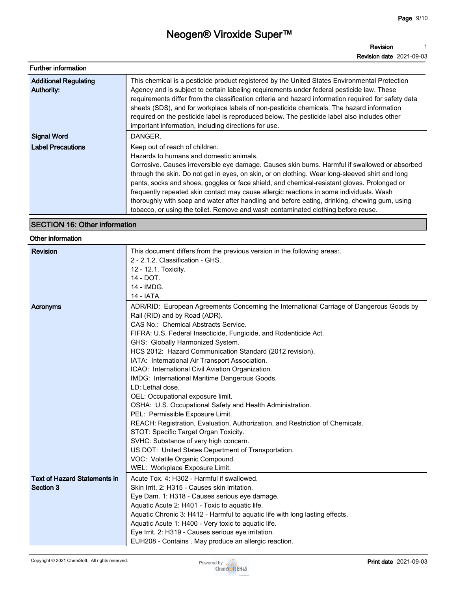**Revision Revision date 2021-09-03 1**

| <b>Further information</b>                 |                                                                                                                                                                                                                                                                                                                                                                                                                                                                                                                                                                                                                                                                |
|--------------------------------------------|----------------------------------------------------------------------------------------------------------------------------------------------------------------------------------------------------------------------------------------------------------------------------------------------------------------------------------------------------------------------------------------------------------------------------------------------------------------------------------------------------------------------------------------------------------------------------------------------------------------------------------------------------------------|
| <b>Additional Regulating</b><br>Authority: | This chemical is a pesticide product registered by the United States Environmental Protection<br>Agency and is subject to certain labeling requirements under federal pesticide law. These<br>requirements differ from the classification criteria and hazard information required for safety data<br>sheets (SDS), and for workplace labels of non-pesticide chemicals. The hazard information<br>required on the pesticide label is reproduced below. The pesticide label also includes other<br>important information, including directions for use.                                                                                                        |
| <b>Signal Word</b>                         | DANGER.                                                                                                                                                                                                                                                                                                                                                                                                                                                                                                                                                                                                                                                        |
| <b>Label Precautions</b>                   | Keep out of reach of children.<br>Hazards to humans and domestic animals.<br>Corrosive. Causes irreversible eye damage. Causes skin burns. Harmful if swallowed or absorbed<br>through the skin. Do not get in eyes, on skin, or on clothing. Wear long-sleeved shirt and long<br>pants, socks and shoes, goggles or face shield, and chemical-resistant gloves. Prolonged or<br>frequently repeated skin contact may cause allergic reactions in some individuals. Wash<br>thoroughly with soap and water after handling and before eating, drinking, chewing gum, using<br>tobacco, or using the toilet. Remove and wash contaminated clothing before reuse. |

### **SECTION 16: Other information**

#### **Other information**

| <b>Revision</b>                     | This document differs from the previous version in the following areas:.                                                                                                                                                                                                                                                                                                                                                                                                                                                                                                                                                                                                                                                                                                                                                                                                                                                       |
|-------------------------------------|--------------------------------------------------------------------------------------------------------------------------------------------------------------------------------------------------------------------------------------------------------------------------------------------------------------------------------------------------------------------------------------------------------------------------------------------------------------------------------------------------------------------------------------------------------------------------------------------------------------------------------------------------------------------------------------------------------------------------------------------------------------------------------------------------------------------------------------------------------------------------------------------------------------------------------|
|                                     | 2 - 2.1.2. Classification - GHS.                                                                                                                                                                                                                                                                                                                                                                                                                                                                                                                                                                                                                                                                                                                                                                                                                                                                                               |
|                                     | 12 - 12.1. Toxicity.                                                                                                                                                                                                                                                                                                                                                                                                                                                                                                                                                                                                                                                                                                                                                                                                                                                                                                           |
|                                     | 14 - DOT.                                                                                                                                                                                                                                                                                                                                                                                                                                                                                                                                                                                                                                                                                                                                                                                                                                                                                                                      |
|                                     | 14 - IMDG.                                                                                                                                                                                                                                                                                                                                                                                                                                                                                                                                                                                                                                                                                                                                                                                                                                                                                                                     |
|                                     | 14 - IATA.                                                                                                                                                                                                                                                                                                                                                                                                                                                                                                                                                                                                                                                                                                                                                                                                                                                                                                                     |
| Acronyms                            | ADR/RID: European Agreements Concerning the International Carriage of Dangerous Goods by                                                                                                                                                                                                                                                                                                                                                                                                                                                                                                                                                                                                                                                                                                                                                                                                                                       |
|                                     | Rail (RID) and by Road (ADR).                                                                                                                                                                                                                                                                                                                                                                                                                                                                                                                                                                                                                                                                                                                                                                                                                                                                                                  |
|                                     | CAS No.: Chemical Abstracts Service.                                                                                                                                                                                                                                                                                                                                                                                                                                                                                                                                                                                                                                                                                                                                                                                                                                                                                           |
|                                     | FIFRA: U.S. Federal Insecticide, Fungicide, and Rodenticide Act.                                                                                                                                                                                                                                                                                                                                                                                                                                                                                                                                                                                                                                                                                                                                                                                                                                                               |
|                                     |                                                                                                                                                                                                                                                                                                                                                                                                                                                                                                                                                                                                                                                                                                                                                                                                                                                                                                                                |
|                                     |                                                                                                                                                                                                                                                                                                                                                                                                                                                                                                                                                                                                                                                                                                                                                                                                                                                                                                                                |
|                                     |                                                                                                                                                                                                                                                                                                                                                                                                                                                                                                                                                                                                                                                                                                                                                                                                                                                                                                                                |
|                                     |                                                                                                                                                                                                                                                                                                                                                                                                                                                                                                                                                                                                                                                                                                                                                                                                                                                                                                                                |
|                                     |                                                                                                                                                                                                                                                                                                                                                                                                                                                                                                                                                                                                                                                                                                                                                                                                                                                                                                                                |
|                                     | LD: Lethal dose.                                                                                                                                                                                                                                                                                                                                                                                                                                                                                                                                                                                                                                                                                                                                                                                                                                                                                                               |
|                                     |                                                                                                                                                                                                                                                                                                                                                                                                                                                                                                                                                                                                                                                                                                                                                                                                                                                                                                                                |
|                                     |                                                                                                                                                                                                                                                                                                                                                                                                                                                                                                                                                                                                                                                                                                                                                                                                                                                                                                                                |
|                                     |                                                                                                                                                                                                                                                                                                                                                                                                                                                                                                                                                                                                                                                                                                                                                                                                                                                                                                                                |
|                                     |                                                                                                                                                                                                                                                                                                                                                                                                                                                                                                                                                                                                                                                                                                                                                                                                                                                                                                                                |
|                                     | STOT: Specific Target Organ Toxicity.                                                                                                                                                                                                                                                                                                                                                                                                                                                                                                                                                                                                                                                                                                                                                                                                                                                                                          |
|                                     | SVHC: Substance of very high concern.                                                                                                                                                                                                                                                                                                                                                                                                                                                                                                                                                                                                                                                                                                                                                                                                                                                                                          |
|                                     |                                                                                                                                                                                                                                                                                                                                                                                                                                                                                                                                                                                                                                                                                                                                                                                                                                                                                                                                |
|                                     |                                                                                                                                                                                                                                                                                                                                                                                                                                                                                                                                                                                                                                                                                                                                                                                                                                                                                                                                |
|                                     | WEL: Workplace Exposure Limit.                                                                                                                                                                                                                                                                                                                                                                                                                                                                                                                                                                                                                                                                                                                                                                                                                                                                                                 |
| <b>Text of Hazard Statements in</b> | Acute Tox. 4: H302 - Harmful if swallowed.                                                                                                                                                                                                                                                                                                                                                                                                                                                                                                                                                                                                                                                                                                                                                                                                                                                                                     |
| Section 3                           | Skin Irrit. 2: H315 - Causes skin irritation.                                                                                                                                                                                                                                                                                                                                                                                                                                                                                                                                                                                                                                                                                                                                                                                                                                                                                  |
|                                     |                                                                                                                                                                                                                                                                                                                                                                                                                                                                                                                                                                                                                                                                                                                                                                                                                                                                                                                                |
|                                     |                                                                                                                                                                                                                                                                                                                                                                                                                                                                                                                                                                                                                                                                                                                                                                                                                                                                                                                                |
|                                     |                                                                                                                                                                                                                                                                                                                                                                                                                                                                                                                                                                                                                                                                                                                                                                                                                                                                                                                                |
|                                     |                                                                                                                                                                                                                                                                                                                                                                                                                                                                                                                                                                                                                                                                                                                                                                                                                                                                                                                                |
|                                     |                                                                                                                                                                                                                                                                                                                                                                                                                                                                                                                                                                                                                                                                                                                                                                                                                                                                                                                                |
|                                     |                                                                                                                                                                                                                                                                                                                                                                                                                                                                                                                                                                                                                                                                                                                                                                                                                                                                                                                                |
|                                     | GHS: Globally Harmonized System.<br>HCS 2012: Hazard Communication Standard (2012 revision).<br>IATA: International Air Transport Association.<br>ICAO: International Civil Aviation Organization.<br>IMDG: International Maritime Dangerous Goods.<br>OEL: Occupational exposure limit.<br>OSHA: U.S. Occupational Safety and Health Administration.<br>PEL: Permissible Exposure Limit.<br>REACH: Registration, Evaluation, Authorization, and Restriction of Chemicals.<br>US DOT: United States Department of Transportation.<br>VOC: Volatile Organic Compound.<br>Eye Dam. 1: H318 - Causes serious eye damage.<br>Aquatic Acute 2: H401 - Toxic to aquatic life.<br>Aquatic Chronic 3: H412 - Harmful to aquatic life with long lasting effects.<br>Aquatic Acute 1: H400 - Very toxic to aquatic life.<br>Eye Irrit. 2: H319 - Causes serious eye irritation.<br>EUH208 - Contains . May produce an allergic reaction. |